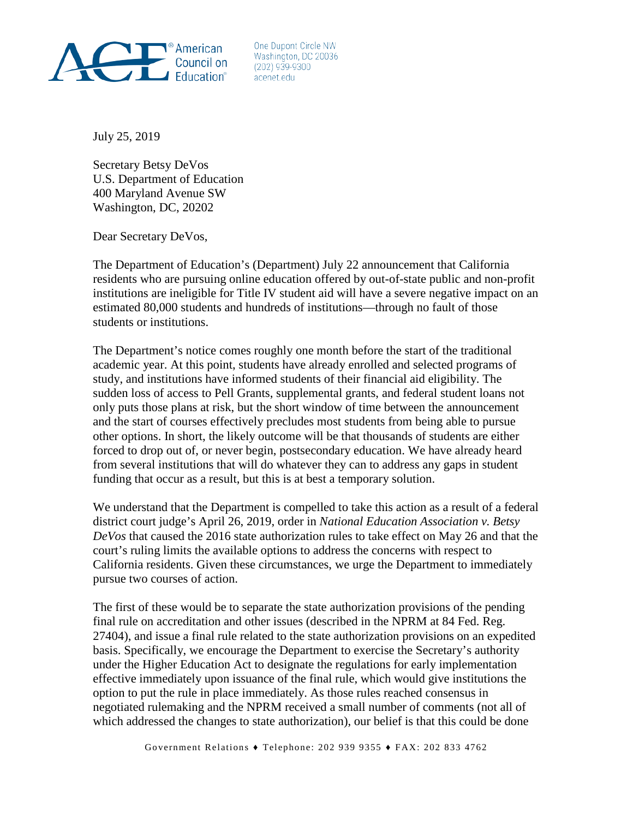

One Dupont Circle NW Washington, DC 20036  $(202)$  939-9300 acenet edu

July 25, 2019

Secretary Betsy DeVos U.S. Department of Education 400 Maryland Avenue SW Washington, DC, 20202

Dear Secretary DeVos,

The Department of Education's (Department) July 22 announcement that California residents who are pursuing online education offered by out-of-state public and non-profit institutions are ineligible for Title IV student aid will have a severe negative impact on an estimated 80,000 students and hundreds of institutions—through no fault of those students or institutions.

The Department's notice comes roughly one month before the start of the traditional academic year. At this point, students have already enrolled and selected programs of study, and institutions have informed students of their financial aid eligibility. The sudden loss of access to Pell Grants, supplemental grants, and federal student loans not only puts those plans at risk, but the short window of time between the announcement and the start of courses effectively precludes most students from being able to pursue other options. In short, the likely outcome will be that thousands of students are either forced to drop out of, or never begin, postsecondary education. We have already heard from several institutions that will do whatever they can to address any gaps in student funding that occur as a result, but this is at best a temporary solution.

We understand that the Department is compelled to take this action as a result of a federal district court judge's April 26, 2019, order in *National Education Association v. Betsy DeVos* that caused the 2016 state authorization rules to take effect on May 26 and that the court's ruling limits the available options to address the concerns with respect to California residents. Given these circumstances, we urge the Department to immediately pursue two courses of action.

The first of these would be to separate the state authorization provisions of the pending final rule on accreditation and other issues (described in the NPRM at 84 Fed. Reg. 27404), and issue a final rule related to the state authorization provisions on an expedited basis. Specifically, we encourage the Department to exercise the Secretary's authority under the Higher Education Act to designate the regulations for early implementation effective immediately upon issuance of the final rule, which would give institutions the option to put the rule in place immediately. As those rules reached consensus in negotiated rulemaking and the NPRM received a small number of comments (not all of which addressed the changes to state authorization), our belief is that this could be done